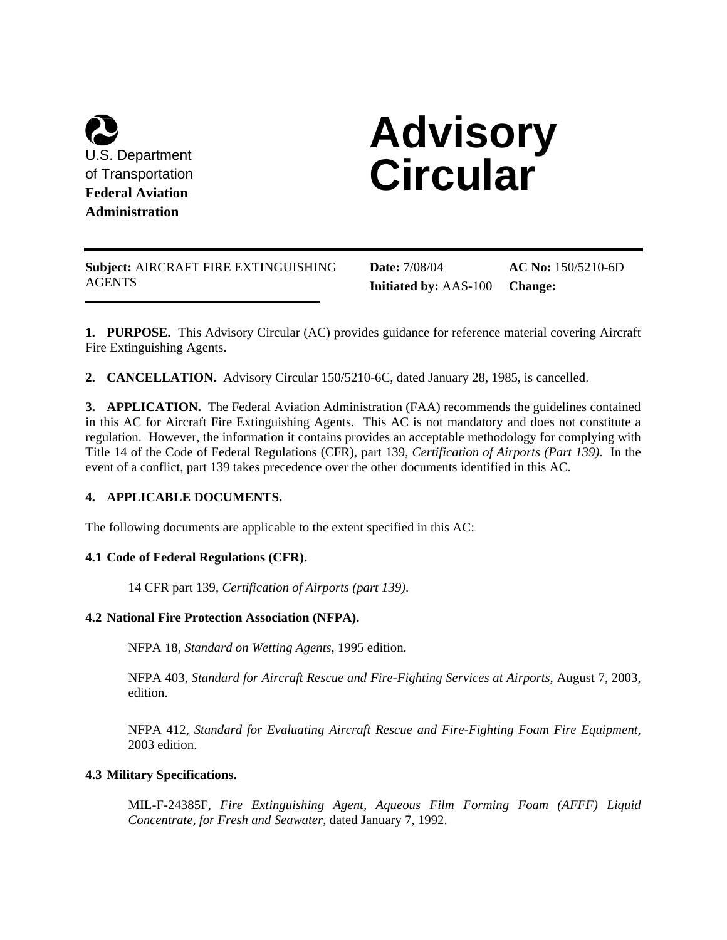

# **Advisory Circular**

**Subject:** AIRCRAFT FIRE EXTINGUISHING AGENTS

**Date:** 7/08/04 **Initiated by:** AAS-100 **AC No:** 150/5210-6D **Change:**

**1. PURPOSE.** This Advisory Circular (AC) provides guidance for reference material covering Aircraft Fire Extinguishing Agents.

**2. CANCELLATION.** Advisory Circular 150/5210-6C, dated January 28, 1985, is cancelled.

**3. APPLICATION.** The Federal Aviation Administration (FAA) recommends the guidelines contained in this AC for Aircraft Fire Extinguishing Agents. This AC is not mandatory and does not constitute a regulation. However, the information it contains provides an acceptable methodology for complying with Title 14 of the Code of Federal Regulations (CFR), part 139, *Certification of Airports (Part 139)*. In the event of a conflict, part 139 takes precedence over the other documents identified in this AC.

#### **4. APPLICABLE DOCUMENTS.**

The following documents are applicable to the extent specified in this AC:

#### **4.1 Code of Federal Regulations (CFR).**

14 CFR part 139, *Certification of Airports (part 139)*.

#### **4.2 National Fire Protection Association (NFPA).**

NFPA 18, *Standard on Wetting Agents*, 1995 edition.

NFPA 403, *Standard for Aircraft Rescue and Fire-Fighting Services at Airports,* August 7, 2003, edition.

NFPA 412, *Standard for Evaluating Aircraft Rescue and Fire-Fighting Foam Fire Equipment,* 2003 edition.

#### **4.3 Military Specifications.**

MIL-F-24385F, *Fire Extinguishing Agent, Aqueous Film Forming Foam (AFFF) Liquid Concentrate, for Fresh and Seawater,* dated January 7, 1992.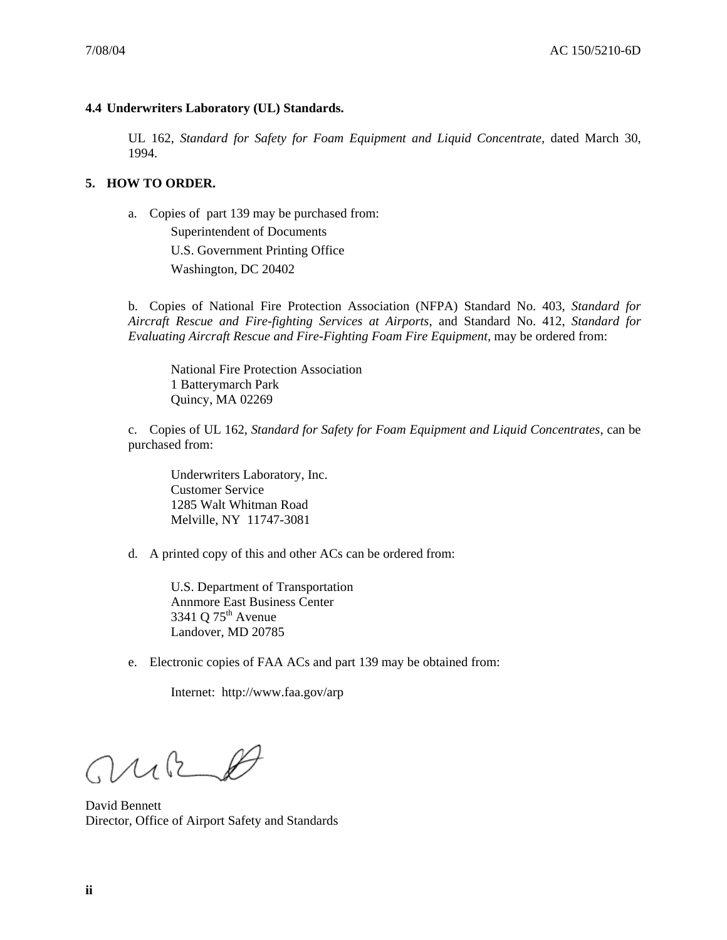#### **4.4 Underwriters Laboratory (UL) Standards.**

UL 162, *Standard for Safety for Foam Equipment and Liquid Concentrate,* dated March 30, 1994.

## **5. HOW TO ORDER.**

a. Copies of part 139 may be purchased from: Superintendent of Documents U.S. Government Printing Office Washington, DC 20402

b. Copies of National Fire Protection Association (NFPA) Standard No. 403, *Standard for Aircraft Rescue and Fire-fighting Services at Airports*, and Standard No. 412, *Standard for Evaluating Aircraft Rescue and Fire-Fighting Foam Fire Equipment,* may be ordered from:

National Fire Protection Association 1 Batterymarch Park Quincy, MA 02269

c. Copies of UL 162, *Standard for Safety for Foam Equipment and Liquid Concentrates,* can be purchased from:

 Underwriters Laboratory, Inc. Customer Service 1285 Walt Whitman Road Melville, NY 11747-3081

d. A printed copy of this and other ACs can be ordered from:

U.S. Department of Transportation Annmore East Business Center 3341 Q 75<sup>th</sup> Avenue Landover, MD 20785

e. Electronic copies of FAA ACs and part 139 may be obtained from:

Internet: http://www.faa.gov/arp

mro

David Bennett Director, Office of Airport Safety and Standards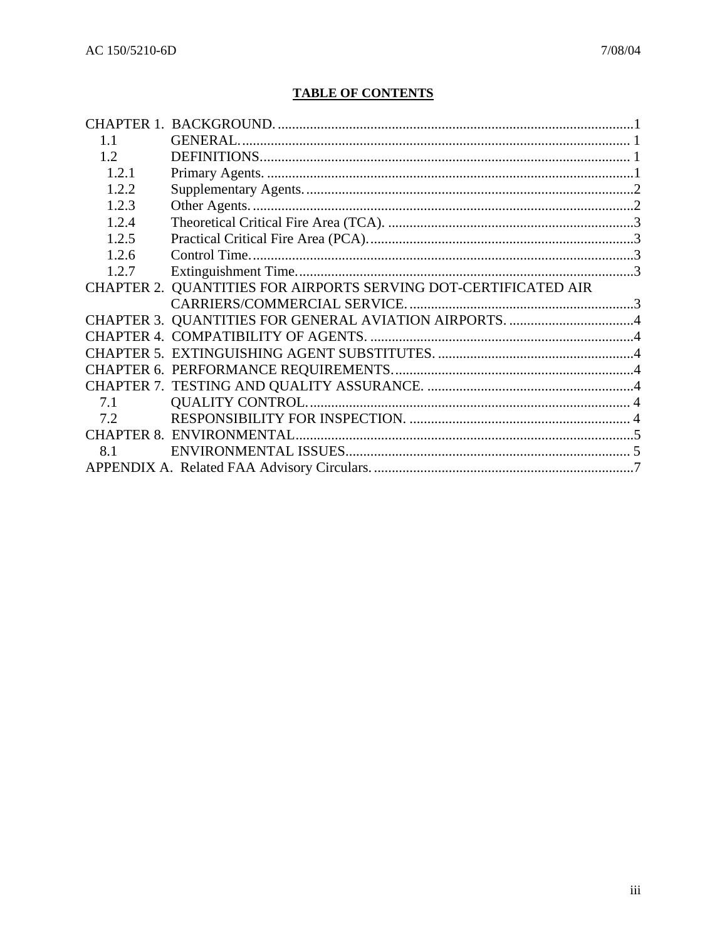## **TABLE OF CONTENTS**

| <b>CHAPTER 1.</b> |                                                                 |  |
|-------------------|-----------------------------------------------------------------|--|
| 1.1               | <b>GENERAL.</b>                                                 |  |
| 1.2               |                                                                 |  |
| 1.2.1             |                                                                 |  |
| 1.2.2             |                                                                 |  |
| 1.2.3             |                                                                 |  |
| 1.2.4             |                                                                 |  |
| 1.2.5             |                                                                 |  |
| 1.2.6             |                                                                 |  |
| 1.2.7             |                                                                 |  |
|                   | CHAPTER 2. QUANTITIES FOR AIRPORTS SERVING DOT-CERTIFICATED AIR |  |
|                   |                                                                 |  |
|                   |                                                                 |  |
|                   |                                                                 |  |
|                   |                                                                 |  |
|                   |                                                                 |  |
|                   |                                                                 |  |
| 7.1               |                                                                 |  |
| 7.2               |                                                                 |  |
|                   |                                                                 |  |
| 8.1               |                                                                 |  |
|                   |                                                                 |  |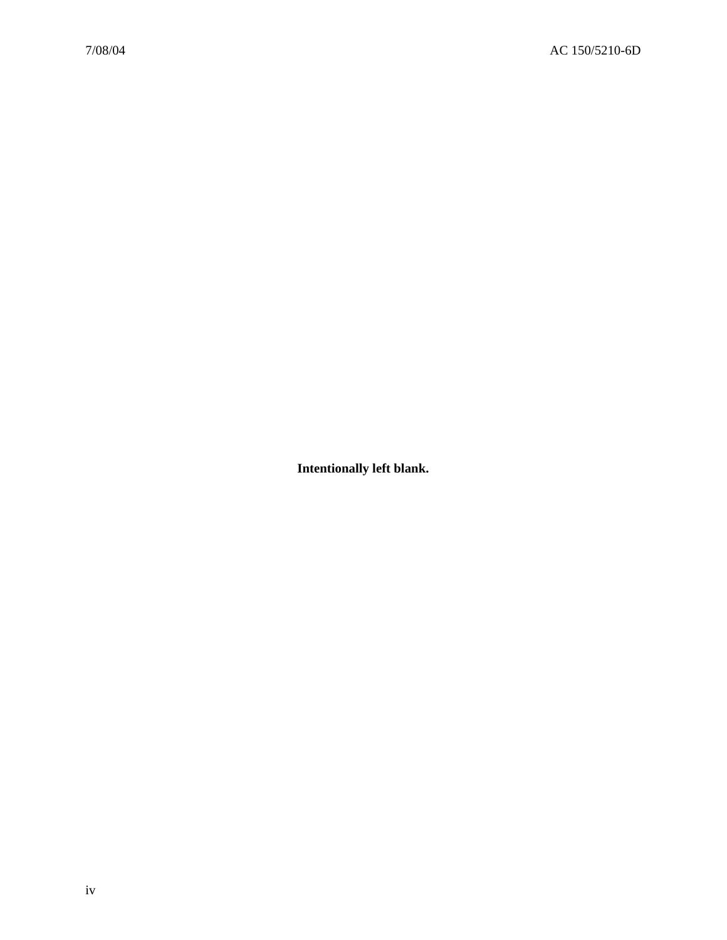**Intentionally left blank.**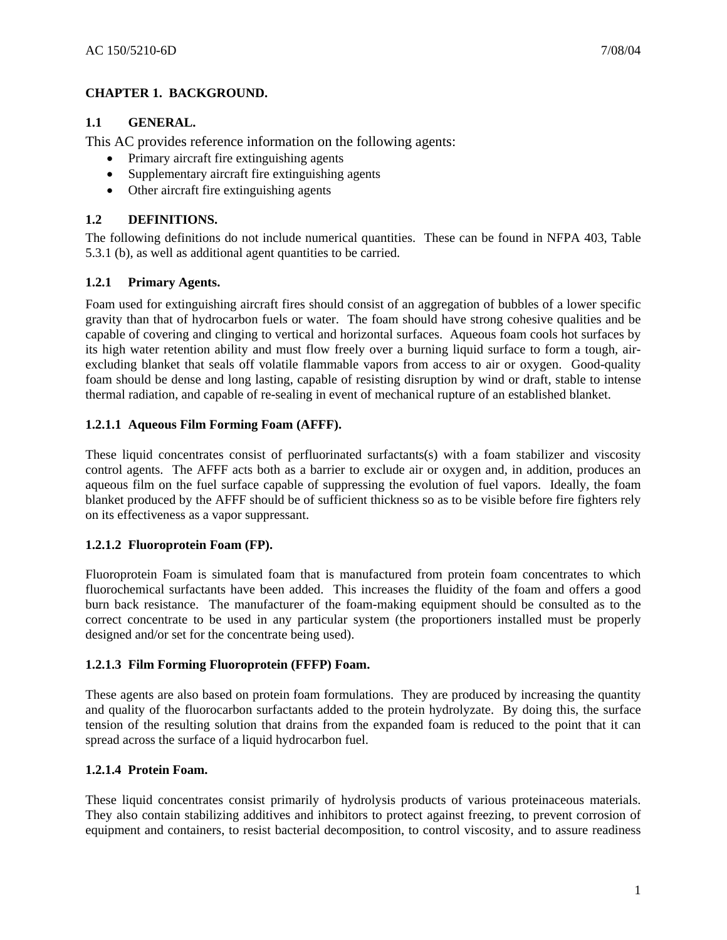## **CHAPTER 1. BACKGROUND.**

## **1.1 GENERAL.**

This AC provides reference information on the following agents:

- Primary aircraft fire extinguishing agents
- Supplementary aircraft fire extinguishing agents
- Other aircraft fire extinguishing agents

### **1.2 DEFINITIONS.**

The following definitions do not include numerical quantities. These can be found in NFPA 403, Table 5.3.1 (b), as well as additional agent quantities to be carried.

### **1.2.1 Primary Agents.**

Foam used for extinguishing aircraft fires should consist of an aggregation of bubbles of a lower specific gravity than that of hydrocarbon fuels or water. The foam should have strong cohesive qualities and be capable of covering and clinging to vertical and horizontal surfaces. Aqueous foam cools hot surfaces by its high water retention ability and must flow freely over a burning liquid surface to form a tough, airexcluding blanket that seals off volatile flammable vapors from access to air or oxygen. Good-quality foam should be dense and long lasting, capable of resisting disruption by wind or draft, stable to intense thermal radiation, and capable of re-sealing in event of mechanical rupture of an established blanket.

### **1.2.1.1 Aqueous Film Forming Foam (AFFF).**

These liquid concentrates consist of perfluorinated surfactants(s) with a foam stabilizer and viscosity control agents. The AFFF acts both as a barrier to exclude air or oxygen and, in addition, produces an aqueous film on the fuel surface capable of suppressing the evolution of fuel vapors. Ideally, the foam blanket produced by the AFFF should be of sufficient thickness so as to be visible before fire fighters rely on its effectiveness as a vapor suppressant.

#### **1.2.1.2 Fluoroprotein Foam (FP).**

Fluoroprotein Foam is simulated foam that is manufactured from protein foam concentrates to which fluorochemical surfactants have been added. This increases the fluidity of the foam and offers a good burn back resistance. The manufacturer of the foam-making equipment should be consulted as to the correct concentrate to be used in any particular system (the proportioners installed must be properly designed and/or set for the concentrate being used).

#### **1.2.1.3 Film Forming Fluoroprotein (FFFP) Foam.**

These agents are also based on protein foam formulations. They are produced by increasing the quantity and quality of the fluorocarbon surfactants added to the protein hydrolyzate. By doing this, the surface tension of the resulting solution that drains from the expanded foam is reduced to the point that it can spread across the surface of a liquid hydrocarbon fuel.

## **1.2.1.4 Protein Foam.**

These liquid concentrates consist primarily of hydrolysis products of various proteinaceous materials. They also contain stabilizing additives and inhibitors to protect against freezing, to prevent corrosion of equipment and containers, to resist bacterial decomposition, to control viscosity, and to assure readiness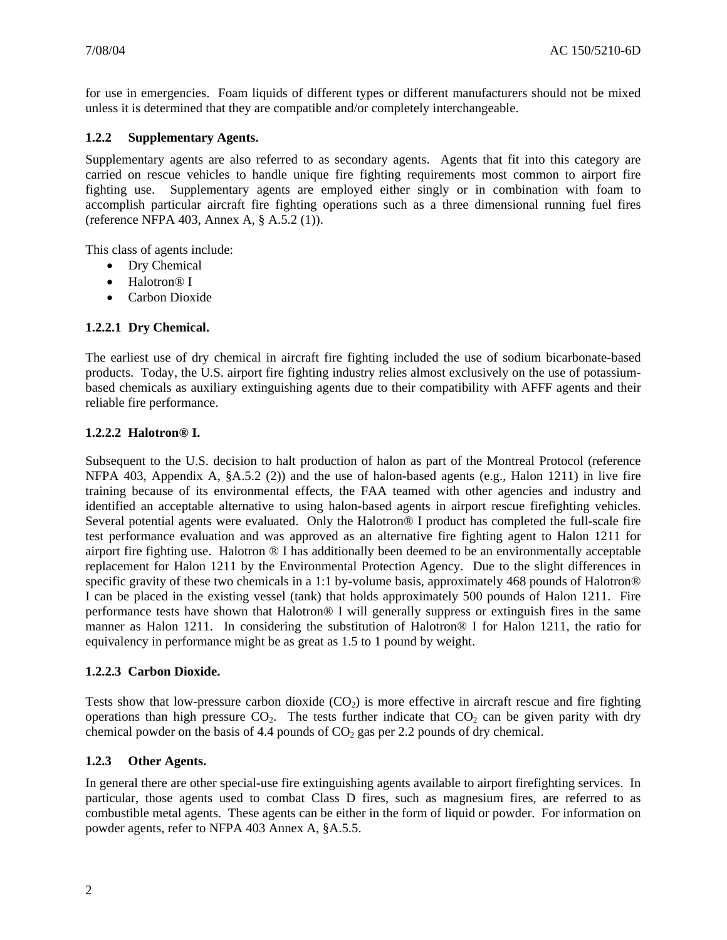for use in emergencies. Foam liquids of different types or different manufacturers should not be mixed unless it is determined that they are compatible and/or completely interchangeable.

## **1.2.2 Supplementary Agents.**

Supplementary agents are also referred to as secondary agents. Agents that fit into this category are carried on rescue vehicles to handle unique fire fighting requirements most common to airport fire fighting use. Supplementary agents are employed either singly or in combination with foam to accomplish particular aircraft fire fighting operations such as a three dimensional running fuel fires (reference NFPA 403, Annex A, § A.5.2 (1)).

This class of agents include:

- Dry Chemical
- Halotron® I
- Carbon Dioxide

## **1.2.2.1 Dry Chemical.**

The earliest use of dry chemical in aircraft fire fighting included the use of sodium bicarbonate-based products. Today, the U.S. airport fire fighting industry relies almost exclusively on the use of potassiumbased chemicals as auxiliary extinguishing agents due to their compatibility with AFFF agents and their reliable fire performance.

### **1.2.2.2 Halotron® I.**

Subsequent to the U.S. decision to halt production of halon as part of the Montreal Protocol (reference NFPA 403, Appendix A, §A.5.2 (2)) and the use of halon-based agents (e.g., Halon 1211) in live fire training because of its environmental effects, the FAA teamed with other agencies and industry and identified an acceptable alternative to using halon-based agents in airport rescue firefighting vehicles. Several potential agents were evaluated. Only the Halotron® I product has completed the full-scale fire test performance evaluation and was approved as an alternative fire fighting agent to Halon 1211 for airport fire fighting use. Halotron ® I has additionally been deemed to be an environmentally acceptable replacement for Halon 1211 by the Environmental Protection Agency. Due to the slight differences in specific gravity of these two chemicals in a 1:1 by-volume basis, approximately 468 pounds of Halotron® I can be placed in the existing vessel (tank) that holds approximately 500 pounds of Halon 1211. Fire performance tests have shown that Halotron® I will generally suppress or extinguish fires in the same manner as Halon 1211. In considering the substitution of Halotron® I for Halon 1211, the ratio for equivalency in performance might be as great as 1.5 to 1 pound by weight.

#### **1.2.2.3 Carbon Dioxide.**

Tests show that low-pressure carbon dioxide  $(CO<sub>2</sub>)$  is more effective in aircraft rescue and fire fighting operations than high pressure  $CO<sub>2</sub>$ . The tests further indicate that  $CO<sub>2</sub>$  can be given parity with dry chemical powder on the basis of 4.4 pounds of  $CO<sub>2</sub>$  gas per 2.2 pounds of dry chemical.

## **1.2.3 Other Agents.**

In general there are other special-use fire extinguishing agents available to airport firefighting services. In particular, those agents used to combat Class D fires, such as magnesium fires, are referred to as combustible metal agents. These agents can be either in the form of liquid or powder. For information on powder agents, refer to NFPA 403 Annex A, §A.5.5.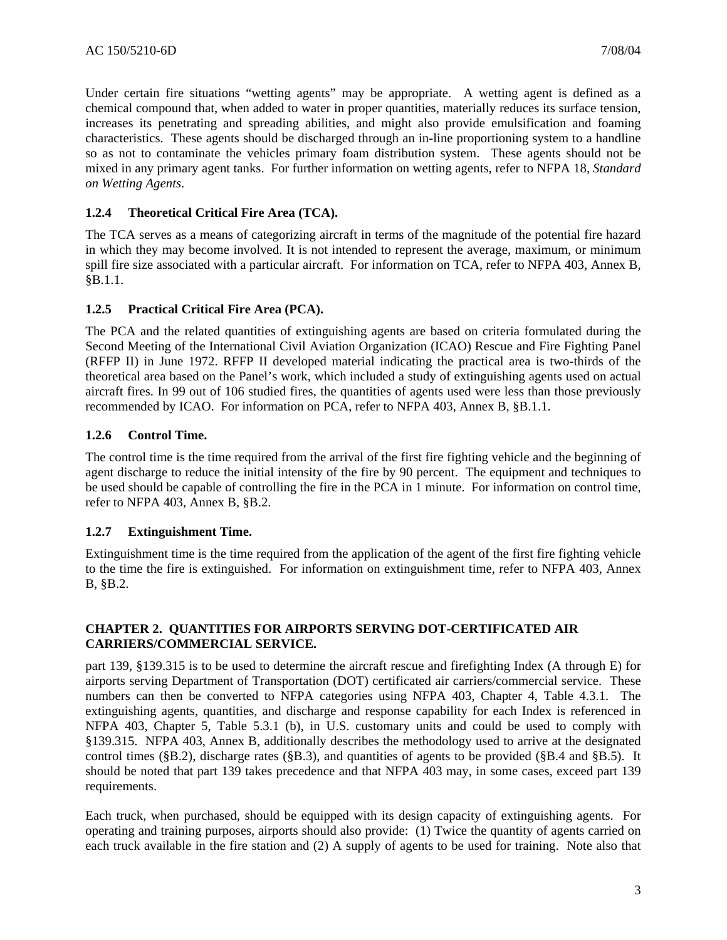Under certain fire situations "wetting agents" may be appropriate. A wetting agent is defined as a chemical compound that, when added to water in proper quantities, materially reduces its surface tension, increases its penetrating and spreading abilities, and might also provide emulsification and foaming characteristics. These agents should be discharged through an in-line proportioning system to a handline so as not to contaminate the vehicles primary foam distribution system. These agents should not be mixed in any primary agent tanks. For further information on wetting agents, refer to NFPA 18, *Standard on Wetting Agents*.

## **1.2.4 Theoretical Critical Fire Area (TCA).**

The TCA serves as a means of categorizing aircraft in terms of the magnitude of the potential fire hazard in which they may become involved. It is not intended to represent the average, maximum, or minimum spill fire size associated with a particular aircraft. For information on TCA, refer to NFPA 403, Annex B, §B.1.1.

### **1.2.5 Practical Critical Fire Area (PCA).**

The PCA and the related quantities of extinguishing agents are based on criteria formulated during the Second Meeting of the International Civil Aviation Organization (ICAO) Rescue and Fire Fighting Panel (RFFP II) in June 1972. RFFP II developed material indicating the practical area is two-thirds of the theoretical area based on the Panel's work, which included a study of extinguishing agents used on actual aircraft fires. In 99 out of 106 studied fires, the quantities of agents used were less than those previously recommended by ICAO. For information on PCA, refer to NFPA 403, Annex B, §B.1.1.

### **1.2.6 Control Time.**

The control time is the time required from the arrival of the first fire fighting vehicle and the beginning of agent discharge to reduce the initial intensity of the fire by 90 percent. The equipment and techniques to be used should be capable of controlling the fire in the PCA in 1 minute. For information on control time, refer to NFPA 403, Annex B, §B.2.

## **1.2.7 Extinguishment Time.**

Extinguishment time is the time required from the application of the agent of the first fire fighting vehicle to the time the fire is extinguished. For information on extinguishment time, refer to NFPA 403, Annex B, §B.2.

### **CHAPTER 2. QUANTITIES FOR AIRPORTS SERVING DOT-CERTIFICATED AIR CARRIERS/COMMERCIAL SERVICE.**

part 139, §139.315 is to be used to determine the aircraft rescue and firefighting Index (A through E) for airports serving Department of Transportation (DOT) certificated air carriers/commercial service. These numbers can then be converted to NFPA categories using NFPA 403, Chapter 4, Table 4.3.1. The extinguishing agents, quantities, and discharge and response capability for each Index is referenced in NFPA 403, Chapter 5, Table 5.3.1 (b), in U.S. customary units and could be used to comply with §139.315. NFPA 403, Annex B, additionally describes the methodology used to arrive at the designated control times (§B.2), discharge rates (§B.3), and quantities of agents to be provided (§B.4 and §B.5). It should be noted that part 139 takes precedence and that NFPA 403 may, in some cases, exceed part 139 requirements.

Each truck, when purchased, should be equipped with its design capacity of extinguishing agents. For operating and training purposes, airports should also provide: (1) Twice the quantity of agents carried on each truck available in the fire station and (2) A supply of agents to be used for training. Note also that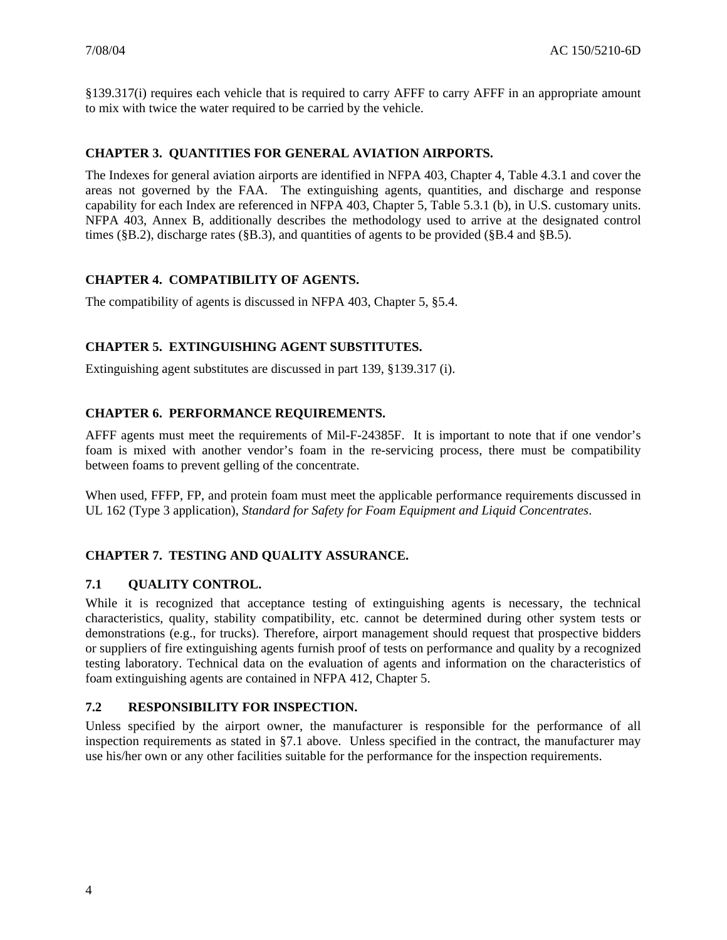§139.317(i) requires each vehicle that is required to carry AFFF to carry AFFF in an appropriate amount to mix with twice the water required to be carried by the vehicle.

## **CHAPTER 3. QUANTITIES FOR GENERAL AVIATION AIRPORTS.**

The Indexes for general aviation airports are identified in NFPA 403, Chapter 4, Table 4.3.1 and cover the areas not governed by the FAA. The extinguishing agents, quantities, and discharge and response capability for each Index are referenced in NFPA 403, Chapter 5, Table 5.3.1 (b), in U.S. customary units. NFPA 403, Annex B, additionally describes the methodology used to arrive at the designated control times (§B.2), discharge rates (§B.3), and quantities of agents to be provided (§B.4 and §B.5).

#### **CHAPTER 4. COMPATIBILITY OF AGENTS.**

The compatibility of agents is discussed in NFPA 403, Chapter 5, §5.4.

### **CHAPTER 5. EXTINGUISHING AGENT SUBSTITUTES.**

Extinguishing agent substitutes are discussed in part 139, §139.317 (i).

#### **CHAPTER 6. PERFORMANCE REQUIREMENTS.**

AFFF agents must meet the requirements of Mil-F-24385F. It is important to note that if one vendor's foam is mixed with another vendor's foam in the re-servicing process, there must be compatibility between foams to prevent gelling of the concentrate.

When used, FFFP, FP, and protein foam must meet the applicable performance requirements discussed in UL 162 (Type 3 application), *Standard for Safety for Foam Equipment and Liquid Concentrates*.

#### **CHAPTER 7. TESTING AND QUALITY ASSURANCE.**

#### **7.1 QUALITY CONTROL.**

While it is recognized that acceptance testing of extinguishing agents is necessary, the technical characteristics, quality, stability compatibility, etc. cannot be determined during other system tests or demonstrations (e.g., for trucks). Therefore, airport management should request that prospective bidders or suppliers of fire extinguishing agents furnish proof of tests on performance and quality by a recognized testing laboratory. Technical data on the evaluation of agents and information on the characteristics of foam extinguishing agents are contained in NFPA 412, Chapter 5.

#### **7.2 RESPONSIBILITY FOR INSPECTION.**

Unless specified by the airport owner, the manufacturer is responsible for the performance of all inspection requirements as stated in §7.1 above. Unless specified in the contract, the manufacturer may use his/her own or any other facilities suitable for the performance for the inspection requirements.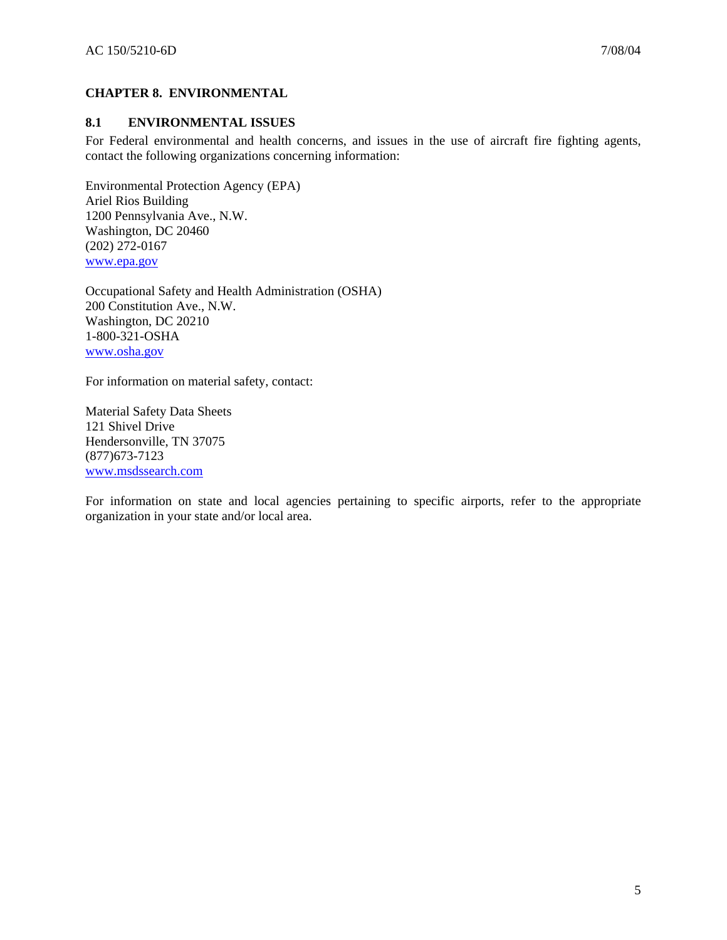## **CHAPTER 8. ENVIRONMENTAL**

## **8.1 ENVIRONMENTAL ISSUES**

For Federal environmental and health concerns, and issues in the use of aircraft fire fighting agents, contact the following organizations concerning information:

Environmental Protection Agency (EPA) Ariel Rios Building 1200 Pennsylvania Ave., N.W. Washington, DC 20460 (202) 272-0167 [www.epa.gov](http://www.epa.gov/)

Occupational Safety and Health Administration (OSHA) 200 Constitution Ave., N.W. Washington, DC 20210 1-800-321-OSHA [www.osha.gov](http://www.osha.gov/)

For information on material safety, contact:

Material Safety Data Sheets 121 Shivel Drive Hendersonville, TN 37075 (877)673-7123 [www.msdssearch.com](http://www.msdssearch.com/)

For information on state and local agencies pertaining to specific airports, refer to the appropriate organization in your state and/or local area.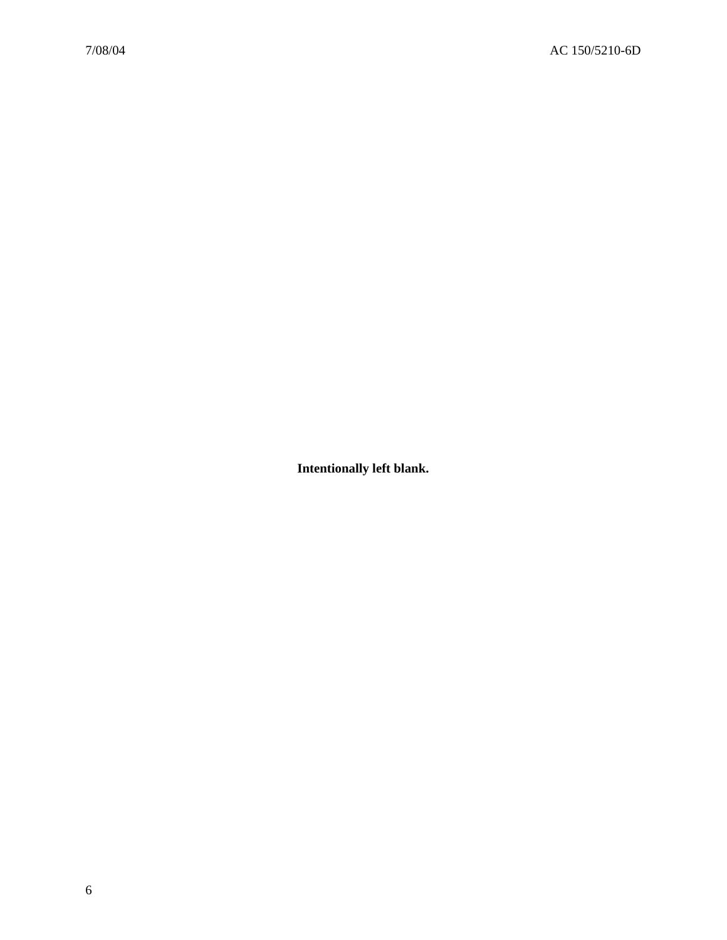**Intentionally left blank.**